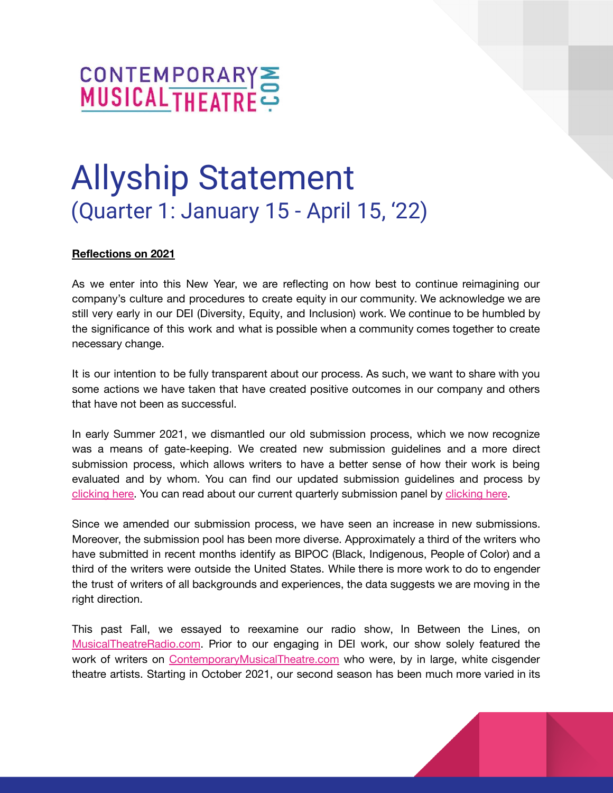# CONTEMPORARY

# Allyship Statement (Quarter 1: January 15 - April 15, '22)

#### **Reflections on 2021**

As we enter into this New Year, we are reflecting on how best to continue reimagining our company's culture and procedures to create equity in our community. We acknowledge we are still very early in our DEI (Diversity, Equity, and Inclusion) work. We continue to be humbled by the significance of this work and what is possible when a community comes together to create necessary change.

It is our intention to be fully transparent about our process. As such, we want to share with you some actions we have taken that have created positive outcomes in our company and others that have not been as successful.

In early Summer 2021, we dismantled our old submission process, which we now recognize was a means of gate-keeping. We created new submission guidelines and a more direct submission process, which allows writers to have a better sense of how their work is being evaluated and by whom. You can find our updated submission guidelines and process by [clicking](https://www.contemporarymusicaltheatre.com/sites/cmtd/files/Updated%20Submission%20Guidelines.8721.pdf) here. You can read about our current quarterly submission panel by [clicking](https://www.contemporarymusicaltheatre.com/sites/cmtd/files/Submission%20Panel%2C%20Q1%2022.pdf) here.

Since we amended our submission process, we have seen an increase in new submissions. Moreover, the submission pool has been more diverse. Approximately a third of the writers who have submitted in recent months identify as BIPOC (Black, Indigenous, People of Color) and a third of the writers were outside the United States. While there is more work to do to engender the trust of writers of all backgrounds and experiences, the data suggests we are moving in the right direction.

This past Fall, we essayed to reexamine our radio show, In Between the Lines, on [MusicalTheatreRadio.com](https://www.musicaltheatreradio.com/). Prior to our engaging in DEI work, our show solely featured the work of writers on [ContemporaryMusicalTheatre.com](https://www.contemporarymusicaltheatre.com/) who were, by in large, white cisgender theatre artists. Starting in October 2021, our second season has been much more varied in its

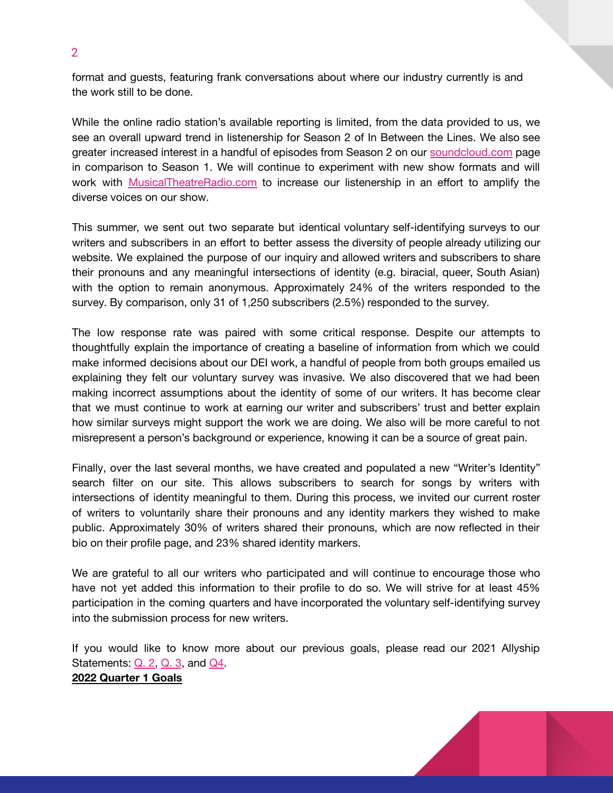format and guests, featuring frank conversations about where our industry currently is and the work still to be done.

While the online radio station's available reporting is limited, from the data provided to us, we see an overall upward trend in listenership for Season 2 of In Between the Lines. We also see greater increased interest in a handful of episodes from Season 2 on our [soundcloud.com](https://soundcloud.com/music-theatre-today/sets/in-between-the-lines-series-2) page in comparison to Season 1. We will continue to experiment with new show formats and will work with [MusicalTheatreRadio.com](https://www.musicaltheatreradio.com/) to increase our listenership in an effort to amplify the diverse voices on our show.

This summer, we sent out two separate but identical voluntary self-identifying surveys to our writers and subscribers in an effort to better assess the diversity of people already utilizing our website. We explained the purpose of our inquiry and allowed writers and subscribers to share their pronouns and any meaningful intersections of identity (e.g. biracial, queer, South Asian) with the option to remain anonymous. Approximately 24% of the writers responded to the survey. By comparison, only 31 of 1,250 subscribers (2.5%) responded to the survey.

The low response rate was paired with some critical response. Despite our attempts to thoughtfully explain the importance of creating a baseline of information from which we could make informed decisions about our DEI work, a handful of people from both groups emailed us explaining they felt our voluntary survey was invasive. We also discovered that we had been making incorrect assumptions about the identity of some of our writers. It has become clear that we must continue to work at earning our writer and subscribers' trust and better explain how similar surveys might support the work we are doing. We also will be more careful to not misrepresent a person's background or experience, knowing it can be a source of great pain.

Finally, over the last several months, we have created and populated a new "Writer's Identity" search filter on our site. This allows subscribers to search for songs by writers with intersections of identity meaningful to them. During this process, we invited our current roster of writers to voluntarily share their pronouns and any identity markers they wished to make public. Approximately 30% of writers shared their pronouns, which are now reflected in their bio on their profile page, and 23% shared identity markers.

We are grateful to all our writers who participated and will continue to encourage those who have not yet added this information to their profile to do so. We will strive for at least 45% participation in the coming quarters and have incorporated the voluntary self-identifying survey into the submission process for new writers.

If you would like to know more about our previous goals, please read our 2021 Allyship Statements: [Q.](https://www.contemporarymusicaltheatre.com/sites/cmtd/files/Allyship%20Statement.Q2%20.pdf) 2, [Q.](https://www.contemporarymusicaltheatre.com/sites/cmtd/files/Q3.%20Allyship%20Statement%20.pdf) 3, and [Q4.](https://www.contemporarymusicaltheatre.com/sites/cmtd/files/Q4.%20Allyship%20Statement%20.pdf)

#### **2022 Quarter 1 Goals**

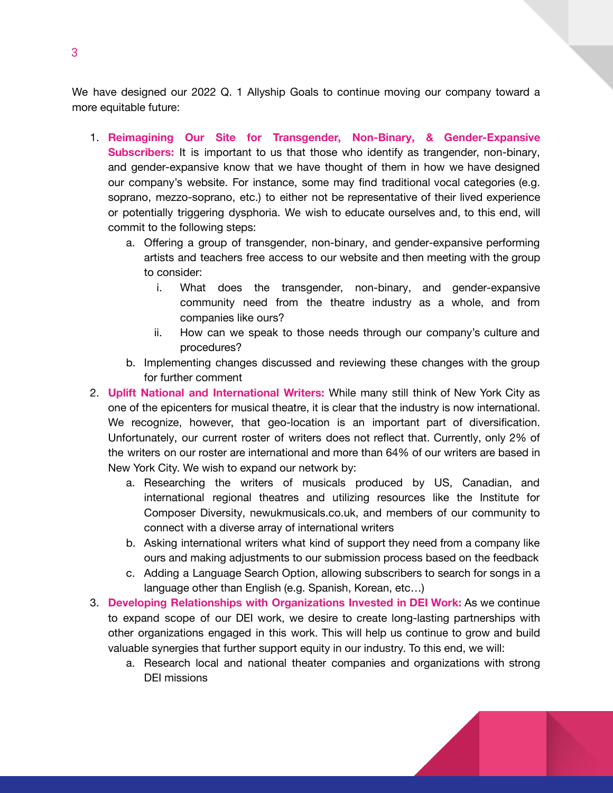We have designed our 2022 Q. 1 Allyship Goals to continue moving our company toward a more equitable future:

- 1. **Reimagining Our Site for Transgender, Non-Binary, & Gender-Expansive Subscribers:** It is important to us that those who identify as trangender, non-binary, and gender-expansive know that we have thought of them in how we have designed our company's website. For instance, some may find traditional vocal categories (e.g. soprano, mezzo-soprano, etc.) to either not be representative of their lived experience or potentially triggering dysphoria. We wish to educate ourselves and, to this end, will commit to the following steps:
	- a. Offering a group of transgender, non-binary, and gender-expansive performing artists and teachers free access to our website and then meeting with the group to consider:
		- i. What does the transgender, non-binary, and gender-expansive community need from the theatre industry as a whole, and from companies like ours?
		- ii. How can we speak to those needs through our company's culture and procedures?
	- b. Implementing changes discussed and reviewing these changes with the group for further comment
- 2. **Uplift National and International Writers:** While many still think of New York City as one of the epicenters for musical theatre, it is clear that the industry is now international. We recognize, however, that geo-location is an important part of diversification. Unfortunately, our current roster of writers does not reflect that. Currently, only 2% of the writers on our roster are international and more than 64% of our writers are based in New York City. We wish to expand our network by:
	- a. Researching the writers of musicals produced by US, Canadian, and international regional theatres and utilizing resources like the Institute for Composer Diversity, newukmusicals.co.uk, and members of our community to connect with a diverse array of international writers
	- b. Asking international writers what kind of support they need from a company like ours and making adjustments to our submission process based on the feedback
	- c. Adding a Language Search Option, allowing subscribers to search for songs in a language other than English (e.g. Spanish, Korean, etc…)
- 3. **Developing Relationships with Organizations Invested in DEI Work:** As we continue to expand scope of our DEI work, we desire to create long-lasting partnerships with other organizations engaged in this work. This will help us continue to grow and build valuable synergies that further support equity in our industry. To this end, we will:
	- a. Research local and national theater companies and organizations with strong DEI missions

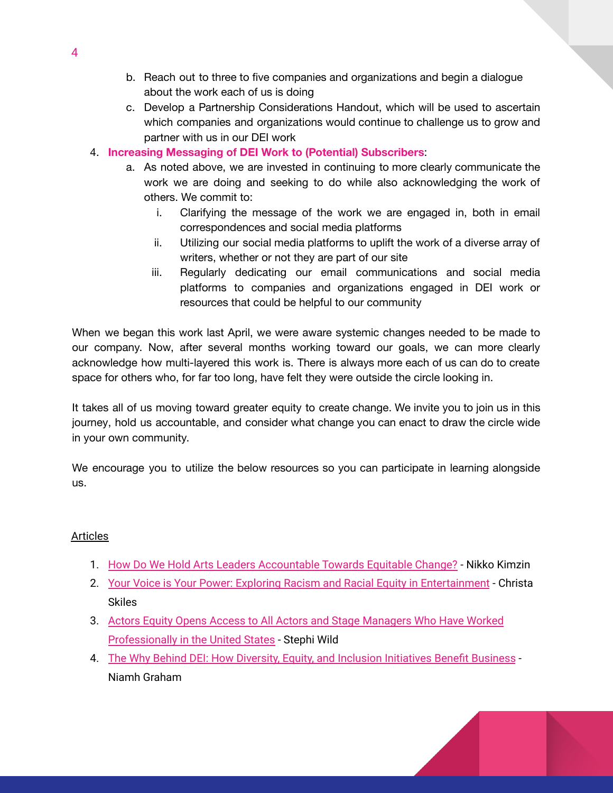- b. Reach out to three to five companies and organizations and begin a dialogue about the work each of us is doing
- c. Develop a Partnership Considerations Handout, which will be used to ascertain which companies and organizations would continue to challenge us to grow and partner with us in our DEI work
- 4. **Increasing Messaging of DEI Work to (Potential) Subscribers**:
	- a. As noted above, we are invested in continuing to more clearly communicate the work we are doing and seeking to do while also acknowledging the work of others. We commit to:
		- i. Clarifying the message of the work we are engaged in, both in email correspondences and social media platforms
		- ii. Utilizing our social media platforms to uplift the work of a diverse array of writers, whether or not they are part of our site
		- iii. Regularly dedicating our email communications and social media platforms to companies and organizations engaged in DEI work or resources that could be helpful to our community

When we began this work last April, we were aware systemic changes needed to be made to our company. Now, after several months working toward our goals, we can more clearly acknowledge how multi-layered this work is. There is always more each of us can do to create space for others who, for far too long, have felt they were outside the circle looking in.

It takes all of us moving toward greater equity to create change. We invite you to join us in this journey, hold us accountable, and consider what change you can enact to draw the circle wide in your own community.

We encourage you to utilize the below resources so you can participate in learning alongside us.

# Articles

- 1. How Do We Hold Arts Leaders [Accountable](https://nikkokimzin.medium.com) Towards Equitable Change? Nikko Kimzin
- 2. Your Voice is Your Power: Exploring Racism and Racial Equity in [Entertainment](https://dramatics.org/your-voice-is-your-power/) Christa Skiles
- 3. Actors Equity Opens Access to All Actors and Stage [Managers](https://www.broadwayworld.com/article/Actors-Equity-Opens-Access-to-All-Actors-and-Stage-Managers-Who-Have-Worked-Professionally-in-the-United-States-20210721) Who Have Worked [Professionally](https://www.broadwayworld.com/article/Actors-Equity-Opens-Access-to-All-Actors-and-Stage-Managers-Who-Have-Worked-Professionally-in-the-United-States-20210721) in the United States - Stephi Wild
- 4. The Why Behind DEI: How Diversity, Equity, and Inclusion [Initiatives](https://www.workhuman.com/resources/globoforce-blog/the-why-behind-d-i-how-diversity-and-inclusion-initiatives-benefit-business) Benefit Business Niamh Graham

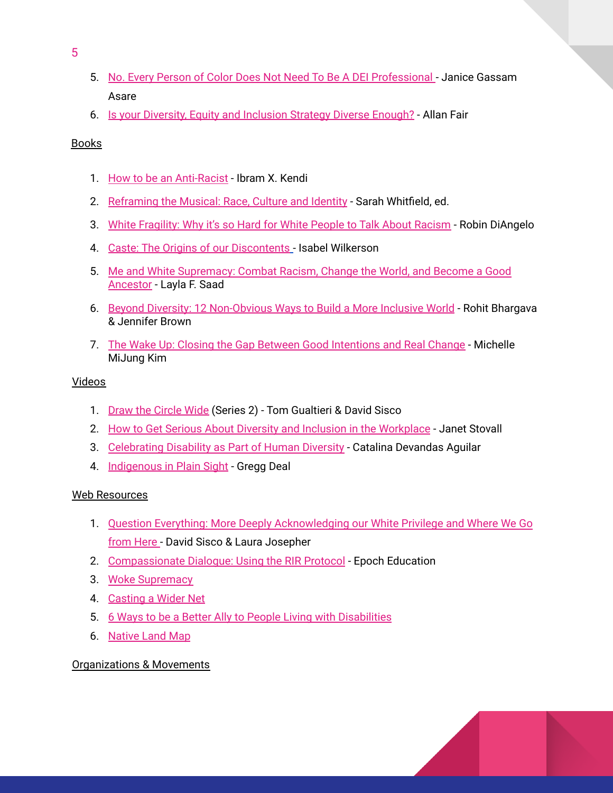- 5. No. Every Person of Color Does Not Need To Be A DEI [Professional](https://www.forbes.com/sites/janicegassam/2021/10/06/no-every-person-of-color-does-not-need-to-be-a-dei-professional/?sh=7b9f532b7f83) Janice Gassam Asare
- 6. Is your Diversity, Equity and [Inclusion](https://www.rollingstone.com/culture-council/articles/diversity-equity-inclusion-strategy-1245595/) Strategy Diverse Enough? Allan Fair

#### **Books**

- 1. How to be an [Anti-Racist](https://www.amazon.com/How-Be-Antiracist-Ibram-Kendi/dp/0525509283) Ibram X. Kendi
- 2. [Reframing](https://www.amazon.com/s?k=reframing+the+musical&crid=BWYGKNIWU4WJ&sprefix=reframing+the+musi%2Cstripbooks%2C143&ref=nb_sb_ss_fb_1_18_ts-doa-p) the Musical: Race, Culture and Identity Sarah Whitfield, ed.
- 3. White [Fragility:](https://www.amazon.com/White-Fragility-People-About-Racism/dp/0807047414/ref=pd_lpo_14_t_0/144-6991702-5345007?_encoding=UTF8&pd_rd_i=0807047414&pd_rd_r=ea2be3ff-3495-47e3-b0fb-22a69efc4984&pd_rd_w=1LpXg&pd_rd_wg=a7Ba8&pf_rd_p=a0d6e967-6561-454c-84f8-2ce2c92b79a6&pf_rd_r=NDT0RX62SB6VRYMYCW7S&psc=1&refRID=NDT0RX62SB6VRYMYCW7S) Why it's so Hard for White People to Talk About Racism Robin DiAngelo
- 4. Caste: The Origins of our [Discontents](https://www.amazon.com/Caste-Origins-Discontents-Isabel-Wilkerson/dp/0593230256) Isabel Wilkerson
- 5. Me and White [Supremacy:](https://www.amazon.com/s?k=me+and+white+supremacy&i=stripbooks&crid=1YC3L0F7UTO1D&sprefix=me+and+white+supre%2Cstripbooks%2C227&ref=nb_sb_ss_ts-doa-p_2_18) Combat Racism, Change the World, and Become a Good [Ancestor](https://www.amazon.com/s?k=me+and+white+supremacy&i=stripbooks&crid=1YC3L0F7UTO1D&sprefix=me+and+white+supre%2Cstripbooks%2C227&ref=nb_sb_ss_ts-doa-p_2_18) - Layla F. Saad
- 6. Beyond Diversity: 12 [Non-Obvious](https://www.amazon.com/Beyond-Diversity-Experts-Actually-Inclusive/dp/1646870514/ref=sr_1_1_sspa?crid=11P8SXOMT3PVL&keywords=diversity+equity+and+inclusion+books&qid=1641993819&sprefix=diversity%2Caps%2C177&sr=8-1-spons&psc=1&spLa=ZW5jcnlwdGVkUXVhbGlmaWVyPUEySUZYM0s4RlZEQko5JmVuY3J5cHRlZElkPUEwNDYzNjMxMVVFNlQ5QjVKNlY4NSZlbmNyeXB0ZWRBZElkPUEwNjQ4OTg5MVBaVjEySzlNUzVMTiZ3aWRnZXROYW1lPXNwX2F0ZiZhY3Rpb249Y2xpY2tSZWRpcmVjdCZkb05vdExvZ0NsaWNrPXRydWU=) Ways to Build a More Inclusive World Rohit Bhargava & Jennifer Brown
- 7. The Wake Up: Closing the Gap Between Good [Intentions](https://www.amazon.com/Wake-Up-Closing-Between-Intentions/dp/0306847205/ref=sr_1_16?crid=11P8SXOMT3PVL&keywords=diversity+equity+and+inclusion+books&qid=1641994088&sprefix=diversity%2Caps%2C177&sr=8-16) and Real Change Michelle MiJung Kim

#### Videos

- 1. Draw the [Circle](https://www.youtube.com/watch?v=4G-ySocQApM&list=PLKnNJ_Eq-KbiTIkzsrSyfUPvA7MX0TyeE&index=4) Wide (Series 2) Tom Gualtieri & David Sisco
- 2. How to Get Serious About Diversity and Inclusion in the [Workplace](https://www.youtube.com/watch?v=kvdHqS3ryw0) Janet Stovall
- 3. [Celebrating](https://www.youtube.com/watch?v=z6D0LbPZxnA) Disability as Part of Human Diversity Catalina Devandas Aguilar
- 4. [Indigenous](https://www.youtube.com/watch?v=s3FL9uhTH_s) in Plain Sight Gregg Deal

# Web Resources

- 1. Question Everything: More Deeply [Acknowledging](https://contemporarymusicaltheatre.wordpress.com/2021/04/13/question-everything/) our White Privilege and Where We Go [from](https://contemporarymusicaltheatre.wordpress.com/2021/04/13/question-everything/) Here - David Sisco & Laura Josepher
- 2. [Compassionate](https://epochacademy.thinkific.com/courses/compassionate-dialogue-using-the-rir-protocol-1hour) Dialogue: Using the RIR Protocol Epoch Education
- 3. Woke [Supremacy](https://howlround.com/woke-supremacy)
- 4. [Casting](https://howlround.com/casting-wider-net) a Wider Net
- 5. 6 Ways to be a Better Ally to People Living with [Disabilities](https://mashable.com/2015/07/26/disability-ally-inclusive/)
- 6. [Native](https://native-land.ca) Land Map

# Organizations & Movements